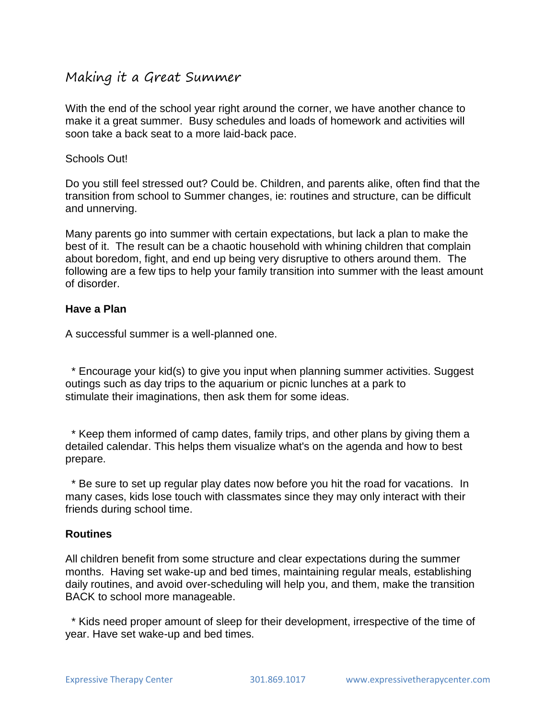# Making it a Great Summer

With the end of the school year right around the corner, we have another chance to make it a great summer. Busy schedules and loads of homework and activities will soon take a back seat to a more laid-back pace.

#### Schools Out!

Do you still feel stressed out? Could be. Children, and parents alike, often find that the transition from school to Summer changes, ie: routines and structure, can be difficult and unnerving.

Many parents go into summer with certain expectations, but lack a plan to make the best of it. The result can be a chaotic household with whining children that complain about boredom, fight, and end up being very disruptive to others around them. The following are a few tips to help your family transition into summer with the least amount of disorder.

### **Have a Plan**

A successful summer is a well-planned one.

\* Encourage your kid(s) to give you input when planning summer activities. Suggest outings such as day trips to the aquarium or picnic lunches at a park to stimulate their imaginations, then ask them for some ideas.

\* Keep them informed of camp dates, family trips, and other plans by giving them a detailed calendar. This helps them visualize what's on the agenda and how to best prepare.

\* Be sure to set up regular play dates now before you hit the road for vacations. In many cases, kids lose touch with classmates since they may only interact with their friends during school time.

#### **Routines**

All children benefit from some structure and clear expectations during the summer months. Having set wake-up and bed times, maintaining regular meals, establishing daily routines, and avoid over-scheduling will help you, and them, make the transition BACK to school more manageable.

\* Kids need proper amount of sleep for their development, irrespective of the time of year. Have set wake-up and bed times.